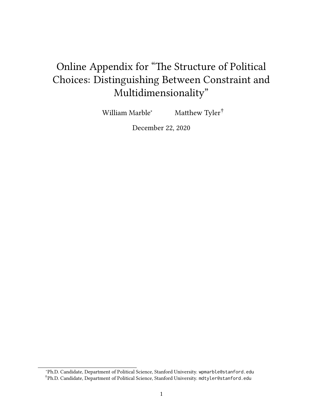# <span id="page-0-0"></span>Online Appendix for "The Structure of Political Choices: Distinguishing Between Constraint and Multidimensionality"

William Marble<sup>∗</sup> Matthew Tyler<sup>†</sup>

December 22, 2020

<sup>∗</sup>Ph.D. Candidate, Department of Political Science, Stanford University. [wpmarble@stanford.edu](mailto:wpmarble@stanford.edu) †Ph.D. Candidate, Department of Political Science, Stanford University. [mdtyler@stanford.edu](mailto:mdtyler@stanford.edu)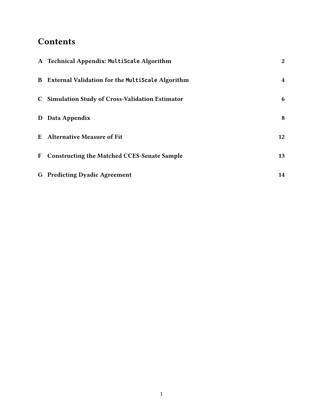## **Contents**

| A Technical Appendix: MultiScale Algorithm         | $\mathbf{2}$ |
|----------------------------------------------------|--------------|
| B External Validation for the MultiScale Algorithm | 4            |
| C Simulation Study of Cross-Validation Estimator   | 6            |
| D Data Appendix                                    | 8            |
| <b>E</b> Alternative Measure of Fit                | 12           |
| F Constructing the Matched CCES-Senate Sample      | 13           |
| <b>G</b> Predicting Dyadic Agreement               | 14           |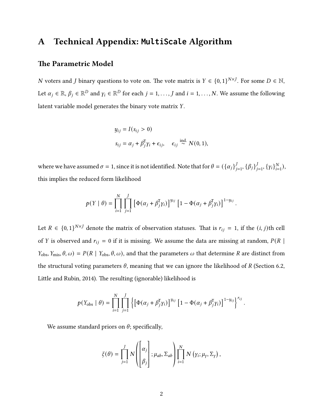## <span id="page-2-0"></span>A Technical Appendix: **MultiScale** Algorithm

#### The Parametric Model

N voters and J binary questions to vote on. The vote matrix is  $Y \in \{0, 1\}^{N \times J}$ . For some  $D \in \mathbb{N}$ , Let  $\alpha_j \in \mathbb{R}, \beta_j \in \mathbb{R}^D$  and  $\gamma_i \in \mathbb{R}^D$  for each  $j = 1, \ldots, J$  and  $i = 1, \ldots, N$ . We assume the following latent variable model generates the binary vote matrix Y.

$$
y_{ij} = I(s_{ij} > 0)
$$
  

$$
s_{ij} = \alpha_j + \beta_j^{\text{T}} \gamma_i + \epsilon_{ij}, \quad \epsilon_{ij} \stackrel{\text{ind.}}{\sim} N(0, 1),
$$

where we have assumed  $\sigma = 1$ , since it is not identified. Note that for  $\theta = (\{\alpha_j\}_j)$  $J_{j=1}$ ,  $\{\beta_j\}_j$  $_{j=1}^{J}, \{\gamma_i\}_{i=1}^{N}$  $_{i=1}^N$ ), this implies the reduced form likelihood

$$
p(Y | \theta) = \prod_{i=1}^N \prod_{j=1}^J \left[ \Phi(\alpha_j + \beta_j^{\mathsf{T}} \gamma_i) \right]^{y_{ij}} \left[ 1 - \Phi(\alpha_j + \beta_j^{\mathsf{T}} \gamma_i) \right]^{1-y_{ij}}.
$$

Let  $R \in \{0, 1\}^{N \times J}$  denote the matrix of observation statuses. That is  $r_{ij} = 1$ , if the  $(i, j)$ th cell of Y is observed and  $r_{ij} = 0$  if it is missing. We assume the data are missing at random,  $P(R |$  $Y_{obs}$ ,  $Y_{mis}$ ,  $\theta$ ,  $\omega$ ) =  $P(R | Y_{obs}$ ,  $\theta$ ,  $\omega$ ), and that the parameters  $\omega$  that determine R are distinct from the structural voting parameters  $\theta$ , meaning that we can ignore the likelihood of R (Section 6.2, Little and Rubin, 2014). The resulting (ignorable) likelihood is

$$
p(Y_{\text{obs}} | \theta) = \prod_{i=1}^{N} \prod_{j=1}^{J} \left\{ \left[ \Phi(\alpha_j + \beta_j^{\text{T}} \gamma_i) \right]^{y_{ij}} \left[ 1 - \Phi(\alpha_j + \beta_j^{\text{T}} \gamma_i) \right]^{1-y_{ij}} \right\}^{r_{ij}}
$$

.

We assume standard priors on  $\theta$ ; specifically,

$$
\xi(\theta) = \prod_{j=1}^{J} N\left(\begin{bmatrix} \alpha_j \\ \beta_j \end{bmatrix}; \mu_{ab}, \Sigma_{ab}\right) \prod_{i=1}^{N} N\left(\gamma_i; \mu_{\gamma}, \Sigma_{\gamma}\right),
$$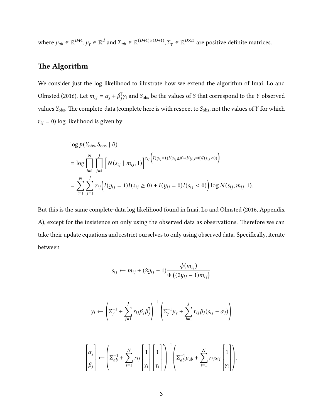where  $\mu_{ab} \in \mathbb{R}^{D+1}$ ,  $\mu_{\gamma} \in \mathbb{R}^d$  and  $\Sigma_{ab} \in \mathbb{R}^{(D+1)\times(D+1)}$ ,  $\Sigma_{\gamma} \in \mathbb{R}^{D\times D}$  are positive definite matrices.

#### The Algorithm

We consider just the log likelihood to illustrate how we extend the algorithm of [Imai, Lo and](#page-16-1) [Olmsted](#page-16-1) [\(2016\)](#page-16-1). Let  $m_{ij} = \alpha_j + \beta_j^{\text{T}} y_i$  and  $S_{\text{obs}}$  be the values of S that correspond to the Y observed values  $Y_{\text{obs}}$ . The complete-data (complete here is with respect to  $S_{\text{obs}}$ , not the values of Y for which  $r_{ij} = 0$ ) log likelihood is given by

$$
\log p(Y_{\text{obs}}, S_{\text{obs}} | \theta)
$$
\n
$$
= \log \prod_{i=1}^{N} \prod_{j=1}^{J} \left[ N(s_{ij} | m_{ij}, 1) \right]^{r_{ij} \left( I(y_{ij} = 1) I(s_{ij} \ge 0) + I(y_{ij} = 0) I(s_{ij} < 0) \right)}
$$
\n
$$
= \sum_{i=1}^{N} \sum_{j=1}^{J} r_{ij} \left( I(y_{ij} = 1) I(s_{ij} \ge 0) + I(y_{ij} = 0) I(s_{ij} < 0) \right) \log N(s_{ij}; m_{ij}, 1).
$$

But this is the same complete-data log likelihood found in [Imai, Lo and Olmsted](#page-16-1) [\(2016,](#page-16-1) Appendix A), except for the insistence on only using the observed data as observations. Therefore we can take their update equations and restrict ourselves to only using observed data. Specifically, iterate between

$$
s_{ij} \leftarrow m_{ij} + (2y_{ij} - 1) \frac{\phi(m_{ij})}{\Phi((2y_{ij} - 1)m_{ij})}
$$

$$
\gamma_i \leftarrow \left(\Sigma_Y^{-1} + \sum_{j=1}^J r_{ij} \beta_j \beta_j^T\right)^{-1} \left(\Sigma_Y^{-1} \mu_Y + \sum_{j=1}^J r_{ij} \beta_j (s_{ij} - \alpha_j)\right)
$$

$$
\begin{bmatrix} \alpha_j \\ \beta_j \end{bmatrix} \leftarrow \left( \Sigma_{ab}^{-1} + \sum_{i=1}^N r_{ij} \begin{bmatrix} 1 \\ \gamma_i \end{bmatrix} \begin{bmatrix} 1 \\ \gamma_i \end{bmatrix} \begin{bmatrix} 1 \\ \gamma_i \end{bmatrix} \right)^{-1} \left( \Sigma_{ab}^{-1} \mu_{ab} + \sum_{i=1}^N r_{ij} s_{ij} \begin{bmatrix} 1 \\ \gamma_i \end{bmatrix} \right)
$$

.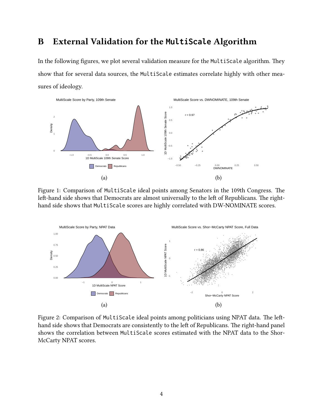## <span id="page-4-0"></span>B External Validation for the **MultiScale** Algorithm

In the following figures, we plot several validation measure for the MultiScale algorithm. They show that for several data sources, the MultiScale estimates correlate highly with other measures of ideology.



Figure 1: Comparison of MultiScale ideal points among Senators in the 109th Congress. The left-hand side shows that Democrats are almost universally to the left of Republicans. The righthand side shows that MultiScale scores are highly correlated with DW-NOMINATE scores.



Figure 2: Comparison of MultiScale ideal points among politicians using NPAT data. The lefthand side shows that Democrats are consistently to the left of Republicans. The right-hand panel shows the correlation between MultiScale scores estimated with the NPAT data to the Shor-McCarty NPAT scores.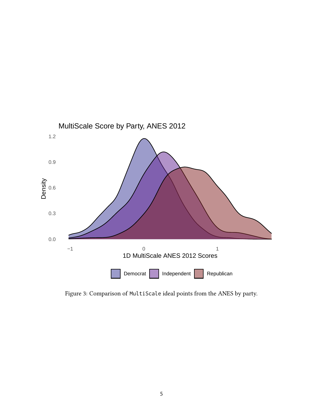

Figure 3: Comparison of MultiScale ideal points from the ANES by party.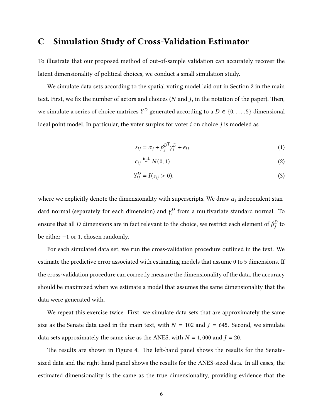## <span id="page-6-0"></span>C Simulation Study of Cross-Validation Estimator

To illustrate that our proposed method of out-of-sample validation can accurately recover the latent dimensionality of political choices, we conduct a small simulation study.

We simulate data sets according to the spatial voting model laid out in Section [2](#page-0-0) in the main text. First, we fix the number of actors and choices ( $N$  and  $J$ , in the notation of the paper). Then, we simulate a series of choice matrices  $Y^D$  generated according to a  $D \in \{0, \ldots, 5\}$  dimensional ideal point model. In particular, the voter surplus for voter  $i$  on choice  $j$  is modeled as

$$
s_{ij} = \alpha_j + \beta_j^{D^{\mathsf{T}}} \gamma_i^D + \epsilon_{ij} \tag{1}
$$

$$
\epsilon_{ij} \stackrel{\text{ind.}}{\sim} N(0,1) \tag{2}
$$

$$
Y_{ij}^D = I(s_{ij} > 0),\tag{3}
$$

where we explicitly denote the dimensionality with superscripts. We draw  $\alpha_j$  independent standard normal (separately for each dimension) and  $\gamma_i^D$  $\mu_i^D$  from a multivariate standard normal. To ensure that all D dimensions are in fact relevant to the choice, we restrict each element of  $\beta_i^D$  $\frac{D}{i}$  to be either −1 or 1, chosen randomly.

For each simulated data set, we run the cross-validation procedure outlined in the text. We estimate the predictive error associated with estimating models that assume 0 to 5 dimensions. If the cross-validation procedure can correctly measure the dimensionality of the data, the accuracy should be maximized when we estimate a model that assumes the same dimensionality that the data were generated with.

We repeat this exercise twice. First, we simulate data sets that are approximately the same size as the Senate data used in the main text, with  $N = 102$  and  $J = 645$ . Second, we simulate data sets approximately the same size as the ANES, with  $N = 1,000$  and  $J = 20$ .

The results are shown in Figure [4.](#page-7-0) The left-hand panel shows the results for the Senatesized data and the right-hand panel shows the results for the ANES-sized data. In all cases, the estimated dimensionality is the same as the true dimensionality, providing evidence that the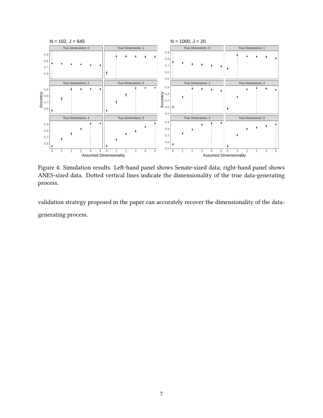<span id="page-7-0"></span>

Figure 4: Simulation results. Left-hand panel shows Senate-sized data; right-hand panel shows ANES-sized data. Dotted vertical lines indicate the dimensionality of the true data-generating process.

validation strategy proposed in the paper can accurately recover the dimensionality of the datagenerating process.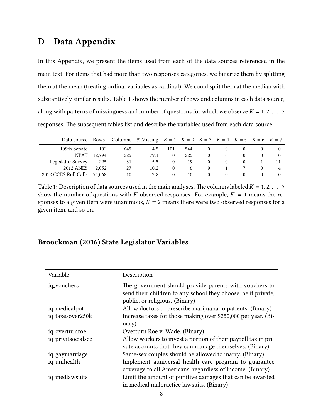## <span id="page-8-0"></span>D Data Appendix

In this Appendix, we present the items used from each of the data sources referenced in the main text. For items that had more than two responses categories, we binarize them by splitting them at the mean (treating ordinal variables as cardinal). We could split them at the median with substantively similar results. Table [1](#page-8-1) shows the number of rows and columns in each data source, along with patterns of missingness and number of questions for which we observe  $K = 1, 2, \ldots, 7$ responses. The subsequent tables list and describe the variables used from each data source.

<span id="page-8-1"></span>

| Data source Rows Columns % Missing $K = 1$ $K = 2$ $K = 3$ $K = 4$ $K = 5$ $K = 6$ $K = 7$ |        |     |      |            |     |          |          |  |  |
|--------------------------------------------------------------------------------------------|--------|-----|------|------------|-----|----------|----------|--|--|
| 109th Senate                                                                               | 102    | 645 | 4.5  | 101        | 544 |          |          |  |  |
| <b>NPAT</b>                                                                                | 12.794 | 225 | 79.1 | $\Omega$   | 225 | $\theta$ | $\theta$ |  |  |
| Legislator Survey                                                                          | 225    | 31  | 5.5  |            | 19  | $\theta$ |          |  |  |
| <b>2012 ANES</b>                                                                           | 2.052  | 27  | 10.2 | 0          | 6   | 9        |          |  |  |
| 2012 CCES Roll Calls                                                                       | 54.068 | 10  | 3.2  | $^{\circ}$ | 10  | 0        | $\theta$ |  |  |

Table 1: Description of data sources used in the main analyses. The columns labeled  $K = 1, 2, ..., 7$ show the number of questions with K observed responses. For example,  $K = 1$  means the responses to a given item were unanimous,  $K = 2$  means there were two observed responses for a given item, and so on.

#### [Broockman](#page-16-2) [\(2016\)](#page-16-2) State Legislator Variables

| Variable           | Description                                                                                                                                               |
|--------------------|-----------------------------------------------------------------------------------------------------------------------------------------------------------|
| iq_vouchers        | The government should provide parents with vouchers to<br>send their children to any school they choose, be it private,<br>public, or religious. (Binary) |
| iq_medicalpot      | Allow doctors to prescribe marijuana to patients. (Binary)                                                                                                |
| iq_taxesover250k   | Increase taxes for those making over \$250,000 per year. (Bi-<br>nary)                                                                                    |
| iq_overturnroe     | Overturn Roe v. Wade. (Binary)                                                                                                                            |
| iq_privitsocialsec | Allow workers to invest a portion of their payroll tax in pri-<br>vate accounts that they can manage themselves. (Binary)                                 |
| iq_gaymarriage     | Same-sex couples should be allowed to marry. (Binary)                                                                                                     |
| iq_unihealth       | Implement auniversal health care program to guarantee<br>coverage to all Americans, regardless of income. (Binary)                                        |
| iq_medlawsuits     | Limit the amount of punitive damages that can be awarded<br>in medical malpractice lawsuits. (Binary)                                                     |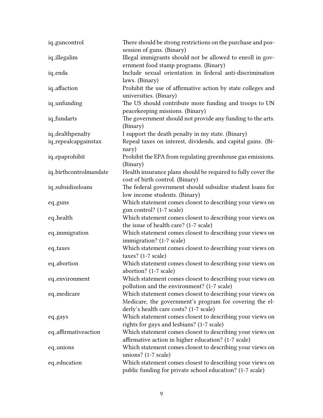| iq_guncontrol          | There should be strong restrictions on the purchase and pos-<br>session of guns. (Binary)                                                                      |
|------------------------|----------------------------------------------------------------------------------------------------------------------------------------------------------------|
| iq_illegalim           | Illegal immigrants should not be allowed to enroll in gov-<br>ernment food stamp programs. (Binary)                                                            |
| iq_enda                | Include sexual orientation in federal anti-discrimination<br>laws. (Binary)                                                                                    |
| iq_affaction           | Prohibit the use of affirmative action by state colleges and<br>universities. (Binary)                                                                         |
| iq_unfunding           | The US should contribute more funding and troops to UN<br>peacekeeping missions. (Binary)                                                                      |
| iq_fundarts            | The government should not provide any funding to the arts.<br>(Binary)                                                                                         |
| iq_dealthpenalty       | I support the death penalty in my state. (Binary)                                                                                                              |
| iq_repealcapgainstax   | Repeal taxes on interest, dividends, and capital gains. (Bi-<br>nary)                                                                                          |
| iq_epaprohibit         | Prohibit the EPA from regulating greenhouse gas emissions.<br>(Binary)                                                                                         |
| iq_birthcontrolmandate | Health insurance plans should be required to fully cover the<br>cost of birth control. (Binary)                                                                |
| iq_subsidizeloans      | The federal government should subsidize student loans for<br>low income students. (Binary)                                                                     |
| eq_guns                | Which statement comes closest to describing your views on<br>gun control? (1-7 scale)                                                                          |
| eq_health              | Which statement comes closest to describing your views on<br>the issue of health care? (1-7 scale)                                                             |
| eq_immigration         | Which statement comes closest to describing your views on<br>immigration? (1-7 scale)                                                                          |
| eq_taxes               | Which statement comes closest to describing your views on<br>taxes? $(1-7 \text{ scale})$                                                                      |
| eq_abortion            | Which statement comes closest to describing your views on<br>abortion? (1-7 scale)                                                                             |
| eq_environment         | Which statement comes closest to describing your views on<br>pollution and the environment? (1-7 scale)                                                        |
| eq_medicare            | Which statement comes closest to describing your views on<br>Medicare, the government's program for covering the el-<br>derly's health care costs? (1-7 scale) |
| eq_gays                | Which statement comes closest to describing your views on<br>rights for gays and lesbians? (1-7 scale)                                                         |
| eq_affirmativeaction   | Which statement comes closest to describing your views on<br>affirmative action in higher education? (1-7 scale)                                               |
| eq_unions              | Which statement comes closest to describing your views on<br>unions? $(1-7 \text{ scale})$                                                                     |
| eq_education           | Which statement comes closest to describing your views on<br>public funding for private school education? (1-7 scale)                                          |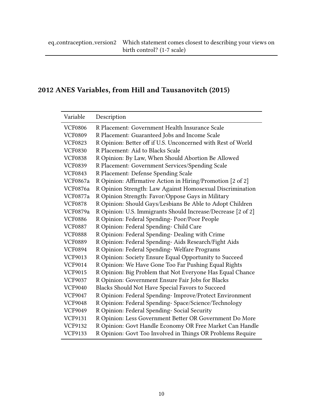## 2012 ANES Variables, from [Hill and Tausanovitch](#page-16-3) [\(2015\)](#page-16-3)

| Variable        | Description                                                  |
|-----------------|--------------------------------------------------------------|
| <b>VCF0806</b>  | R Placement: Government Health Insurance Scale               |
| <b>VCF0809</b>  | R Placement: Guaranteed Jobs and Income Scale                |
| <b>VCF0823</b>  | R Opinion: Better off if U.S. Unconcerned with Rest of World |
| <b>VCF0830</b>  | R Placement: Aid to Blacks Scale                             |
| <b>VCF0838</b>  | R Opinion: By Law, When Should Abortion Be Allowed           |
| <b>VCF0839</b>  | R Placement: Government Services/Spending Scale              |
| <b>VCF0843</b>  | R Placement: Defense Spending Scale                          |
| <b>VCF0867a</b> | R Opinion: Affirmative Action in Hiring/Promotion [2 of 2]   |
| <b>VCF0876a</b> | R Opinion Strength: Law Against Homosexual Discrimination    |
| <b>VCF0877a</b> | R Opinion Strength: Favor/Oppose Gays in Military            |
| <b>VCF0878</b>  | R Opinion: Should Gays/Lesbians Be Able to Adopt Children    |
| VCF0879a        | R Opinion: U.S. Immigrants Should Increase/Decrease [2 of 2] |
| <b>VCF0886</b>  | R Opinion: Federal Spending-Poor/Poor People                 |
| <b>VCF0887</b>  | R Opinion: Federal Spending- Child Care                      |
| <b>VCF0888</b>  | R Opinion: Federal Spending- Dealing with Crime              |
| <b>VCF0889</b>  | R Opinion: Federal Spending-Aids Research/Fight Aids         |
| <b>VCF0894</b>  | R Opinion: Federal Spending-Welfare Programs                 |
| <b>VCF9013</b>  | R Opinion: Society Ensure Equal Opportunity to Succeed       |
| VCF9014         | R Opinion: We Have Gone Too Far Pushing Equal Rights         |
| <b>VCF9015</b>  | R Opinion: Big Problem that Not Everyone Has Equal Chance    |
| <b>VCF9037</b>  | R Opinion: Government Ensure Fair Jobs for Blacks            |
| <b>VCF9040</b>  | Blacks Should Not Have Special Favors to Succeed             |
| <b>VCF9047</b>  | R Opinion: Federal Spending- Improve/Protect Environment     |
| <b>VCF9048</b>  | R Opinion: Federal Spending- Space/Science/Technology        |
| <b>VCF9049</b>  | R Opinion: Federal Spending- Social Security                 |
| <b>VCF9131</b>  | R Opinion: Less Government Better OR Government Do More      |
| <b>VCF9132</b>  | R Opinion: Govt Handle Economy OR Free Market Can Handle     |
| <b>VCF9133</b>  | R Opinion: Govt Too Involved in Things OR Problems Require   |
|                 |                                                              |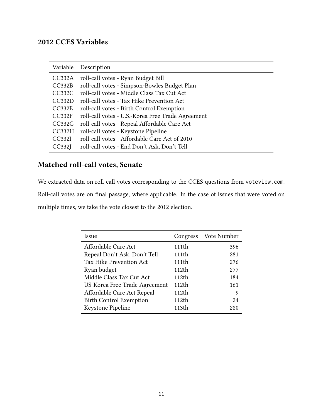## 2012 CCES Variables

| Variable | Description                                       |
|----------|---------------------------------------------------|
| CC332A   | roll-call votes - Ryan Budget Bill                |
| CC332B   | roll-call votes - Simpson-Bowles Budget Plan      |
| CC332C   | roll-call votes - Middle Class Tax Cut Act        |
| CC332D   | roll-call votes - Tax Hike Prevention Act         |
| CC332E   | roll-call votes - Birth Control Exemption         |
| CC332F   | roll-call votes - U.S.-Korea Free Trade Agreement |
| CC332G   | roll-call votes - Repeal Affordable Care Act      |
| CC332H   | roll-call votes - Keystone Pipeline               |
| CC332I   | roll-call votes - Affordable Care Act of 2010     |
| CC332    | roll-call votes - End Don't Ask, Don't Tell       |

## Matched roll-call votes, Senate

We extracted data on roll-call votes corresponding to the CCES questions from voteview.com. Roll-call votes are on final passage, where applicable. In the case of issues that were voted on multiple times, we take the vote closest to the 2012 election.

| Issue                          | Congress | Vote Number |
|--------------------------------|----------|-------------|
| Affordable Care Act            | 111th    | 396         |
| Repeal Don't Ask, Don't Tell   | 111th    | 281         |
| Tax Hike Prevention Act        | 111th    | 276         |
| Ryan budget                    | 112th    | 277         |
| Middle Class Tax Cut Act       | 112th    | 184         |
| US-Korea Free Trade Agreement  | 112th    | 161         |
| Affordable Care Act Repeal     | 112th    | 9           |
| <b>Birth Control Exemption</b> | 112th    | 24          |
| Keystone Pipeline              | 113th    | 280         |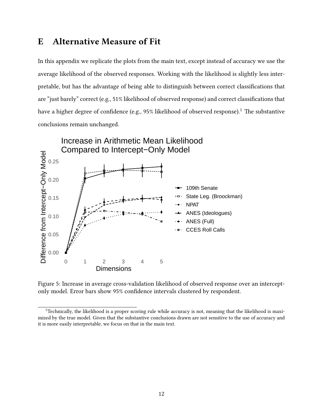## <span id="page-12-0"></span>E Alternative Measure of Fit

In this appendix we replicate the plots from the main text, except instead of accuracy we use the average likelihood of the observed responses. Working with the likelihood is slightly less interpretable, but has the advantage of being able to distinguish between correct classifications that are "just barely" correct (e.g., 51% likelihood of observed response) and correct classifications that have a higher degree of confidence (e.g.,  $95\%$  likelihood of observed response).<sup>[1](#page-0-0)</sup> The substantive conclusions remain unchanged.



Figure 5: Increase in average cross-validation likelihood of observed response over an interceptonly model. Error bars show 95% confidence intervals clustered by respondent.

 $1$ <sup>T</sup>echnically, the likelihood is a proper scoring rule while accuracy is not, meaning that the likelihood is maximized by the true model. Given that the substantive conclusions drawn are not sensitive to the use of accuracy and it is more easily interpretable, we focus on that in the main text.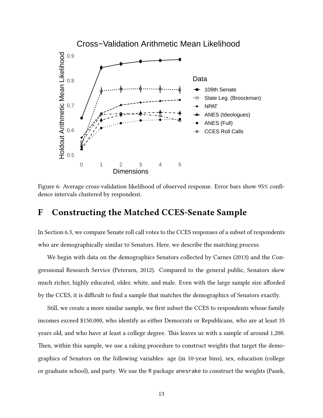

Figure 6: Average cross-validation likelihood of observed response. Error bars show 95% confidence intervals clustered by respondent.

### <span id="page-13-0"></span>F Constructing the Matched CCES-Senate Sample

In Section [6.3,](#page-0-0) we compare Senate roll call votes to the CCES responses of a subset of respondents who are demographically similar to Senators. Here, we describe the matching process.

We begin with data on the demographics Senators collected by [Carnes](#page-16-4) [\(2013\)](#page-16-4) and the Congressional Research Service [\(Petersen, 2012\)](#page-16-5). Compared to the general public, Senators skew much richer, highly educated, older, white, and male. Even with the large sample size afforded by the CCES, it is difficult to find a sample that matches the demographics of Senators exactly.

Still, we create a more similar sample, we first subset the CCES to respondents whose family incomes exceed \$150,000, who identify as either Democrats or Republicans, who are at least 35 years old, and who have at least a college degree. This leaves us with a sample of around 1,200. Then, within this sample, we use a raking procedure to construct weights that target the demographics of Senators on the following variables: age (in 10-year bins), sex, education (college or graduate school), and party. We use the R package anesrake to construct the weights [\(Pasek,](#page-16-6)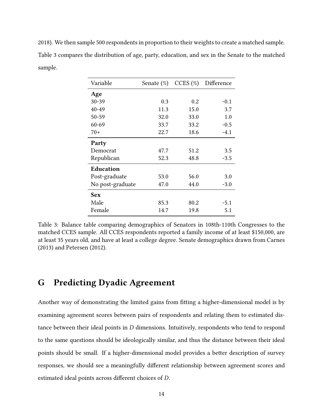<span id="page-14-1"></span>[2018\)](#page-16-6). We then sample 500 respondents in proportion to their weights to create a matched sample. Table [3](#page-14-1) compares the distribution of age, party, education, and sex in the Senate to the matched sample.

| Variable         | Senate $(\%)$ | CCES $(\%)$ | Difference |
|------------------|---------------|-------------|------------|
| Age              |               |             |            |
| $30 - 39$        | 0.3           | 0.2         | $-0.1$     |
| $40 - 49$        | 11.3          | 15.0        | 3.7        |
| 50-59            | 32.0          | 33.0        | 1.0        |
| 60-69            | 33.7          | 33.2        | $-0.5$     |
| $70+$            | 22.7          | 18.6        | $-4.1$     |
| Party            |               |             |            |
| Democrat         | 47.7          | 51.2        | 3.5        |
| Republican       | 52.3          | 48.8        | $-3.5$     |
| <b>Education</b> |               |             |            |
| Post-graduate    | 53.0          | 56.0        | 3.0        |
| No post-graduate | 47.0          | 44.0        | $-3.0$     |
| <b>Sex</b>       |               |             |            |
| Male             | 85.3          | 80.2        | $-5.1$     |
| Female           | 14.7          | 19.8        | 5.1        |

Table 3: Balance table comparing demographics of Senators in 108th-110th Congresses to the matched CCES sample. All CCES respondents reported a family income of at least \$150,000, are at least 35 years old, and have at least a college degree. Senate demographics drawn from [Carnes](#page-16-4) [\(2013\)](#page-16-4) and [Petersen](#page-16-5) [\(2012\)](#page-16-5).

## <span id="page-14-0"></span>G Predicting Dyadic Agreement

Another way of demonstrating the limited gains from fitting a higher-dimensional model is by examining agreement scores between pairs of respondents and relating them to estimated distance between their ideal points in  $D$  dimensions. Intuitively, respondents who tend to respond to the same questions should be ideologically similar, and thus the distance between their ideal points should be small. If a higher-dimensional model provides a better description of survey responses, we should see a meaningfully different relationship between agreement scores and estimated ideal points across different choices of D.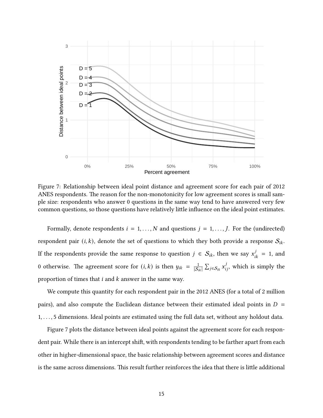<span id="page-15-0"></span>

Figure 7: Relationship between ideal point distance and agreement score for each pair of 2012 ANES respondents. The reason for the non-monotonicity for low agreement scores is small sample size: respondents who answer 0 questions in the same way tend to have answered very few common questions, so those questions have relatively little influence on the ideal point estimates.

Formally, denote respondents  $i = 1, ..., N$  and questions  $j = 1, ..., J$ . For the (undirected) respondent pair  $(i, k)$ , denote the set of questions to which they both provide a response  $S_{ik}$ . If the respondents provide the same response to question  $j\,\in\,\mathcal{S}_{ik},$  then we say  $x_{ik}^j\,=\,1,$  and 0 otherwise. The agreement score for  $(i, k)$  is then  $y_{ik} = \frac{1}{|S_i|}$  $\frac{1}{|S_{ik}|}\sum_{j\in\mathcal{S}_{ik}}x_{ij}^j$ , which is simply the proportion of times that  $i$  and  $k$  answer in the same way.

We compute this quantity for each respondent pair in the 2012 ANES (for a total of 2 million pairs), and also compute the Euclidean distance between their estimated ideal points in  $D =$ 1, . . . , 5 dimensions. Ideal points are estimated using the full data set, without any holdout data.

Figure [7](#page-15-0) plots the distance between ideal points against the agreement score for each respondent pair. While there is an intercept shift, with respondents tending to be farther apart from each other in higher-dimensional space, the basic relationship between agreement scores and distance is the same across dimensions. This result further reinforces the idea that there is little additional